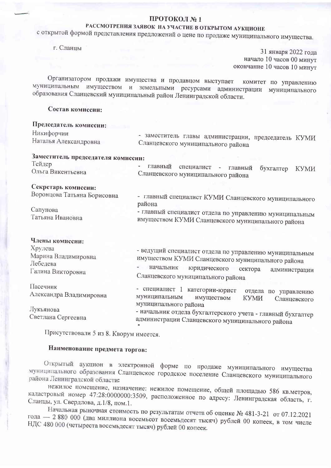### ПРОТОКОЛ №1

# РАССМОТРЕНИЯ ЗАЯВОК НА УЧАСТИЕ В ОТКРЫТОМ АУКЦИОНЕ

с открытой формой представления предложений о цене по продаже муниципального имущества.

г. Сланцы

31 января 2022 года начало 10 часов 00 минут окончание 10 часов 10 минут

Организатором продажи имущества и продавцом выступает комитет по управлению муниципальным имуществом и земельными ресурсами администрации муниципального образования Сланцевский муниципальный район Ленинградской области.

## Состав комиссии:

| - заместитель главы администрации, председатель КУМИ                                                                                                                                                                                                                  |
|-----------------------------------------------------------------------------------------------------------------------------------------------------------------------------------------------------------------------------------------------------------------------|
| Сланцевского муниципального района                                                                                                                                                                                                                                    |
| Заместитель председателя комиссии:<br>главный<br>специалист - главный<br>бухгалтер<br><b>KYMH</b><br>Сланцевского муниципального района<br>- главный специалист КУМИ Сланцевского муниципального<br>района<br>- главный специалист отдела по управлению муниципальным |
| имуществом КУМИ Сланцевского муниципального района                                                                                                                                                                                                                    |
| - ведущий специалист отдела по управлению муниципальным<br>имуществом КУМИ Сланцевского муниципального района<br>начальник<br>юридического<br>сектора<br>администрации<br>Сланцевского муниципального района                                                          |
| - специалист 1 категории-юрист<br>отдела по управлению<br>муниципальным<br>имуществом<br><b>КУМИ</b><br>Сланцевского                                                                                                                                                  |
| муниципального района<br>- начальник отдела бухгалтерского учета - главный бухгалтер<br>администрации Сланцевского муниципального района                                                                                                                              |
|                                                                                                                                                                                                                                                                       |

Присутствовали 5 из 8. Кворум имеется.

# Наименование предмета торгов:

Открытый аукцион в электронной форме по продаже муниципального имущества муниципального образования Сланцевское городское поселение Сланцевского муниципального района Ленинградской области:

нежилое помещение, назначение: нежилое помещение, общей площадью 586 кв.метров, кадастровый номер 47:28:0000000:3509, расположенное по адресу: Ленинградская область, г. Сланцы, ул. Свердлова, д.1/8, пом.1.

Начальная рыночная стоимость по результатам отчета об оценке № 481-3-21 от 07.12.2021 года - 2 880 000 (два миллиона восемьсот восемьдесят тысяч) рублей 00 копеек, в том числе НДС 480 000 (четыреста восемьдесят тысяч) рублей 00 копеек.